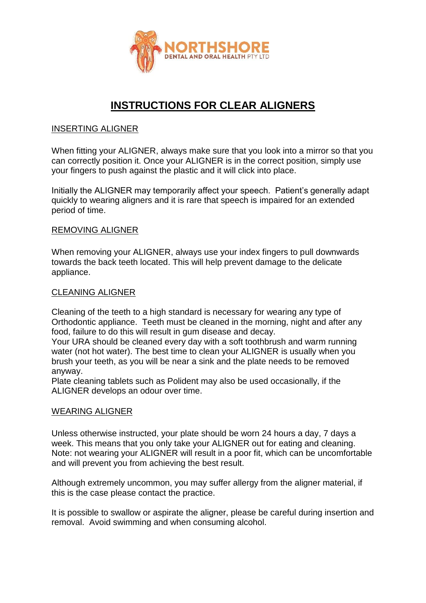

# **INSTRUCTIONS FOR CLEAR ALIGNERS**

# INSERTING ALIGNER

When fitting your ALIGNER, always make sure that you look into a mirror so that you can correctly position it. Once your ALIGNER is in the correct position, simply use your fingers to push against the plastic and it will click into place.

Initially the ALIGNER may temporarily affect your speech. Patient's generally adapt quickly to wearing aligners and it is rare that speech is impaired for an extended period of time.

#### REMOVING ALIGNER

When removing your ALIGNER, always use your index fingers to pull downwards towards the back teeth located. This will help prevent damage to the delicate appliance.

#### CLEANING ALIGNER

Cleaning of the teeth to a high standard is necessary for wearing any type of Orthodontic appliance. Teeth must be cleaned in the morning, night and after any food, failure to do this will result in gum disease and decay.

Your URA should be cleaned every day with a soft toothbrush and warm running water (not hot water). The best time to clean your ALIGNER is usually when you brush your teeth, as you will be near a sink and the plate needs to be removed anyway.

Plate cleaning tablets such as Polident may also be used occasionally, if the ALIGNER develops an odour over time.

#### WEARING ALIGNER

Unless otherwise instructed, your plate should be worn 24 hours a day, 7 days a week. This means that you only take your ALIGNER out for eating and cleaning. Note: not wearing your ALIGNER will result in a poor fit, which can be uncomfortable and will prevent you from achieving the best result.

Although extremely uncommon, you may suffer allergy from the aligner material, if this is the case please contact the practice.

It is possible to swallow or aspirate the aligner, please be careful during insertion and removal. Avoid swimming and when consuming alcohol.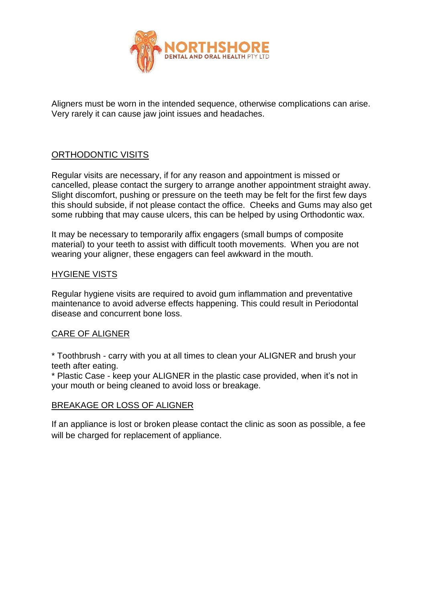

Aligners must be worn in the intended sequence, otherwise complications can arise. Very rarely it can cause jaw joint issues and headaches.

# ORTHODONTIC VISITS

Regular visits are necessary, if for any reason and appointment is missed or cancelled, please contact the surgery to arrange another appointment straight away. Slight discomfort, pushing or pressure on the teeth may be felt for the first few days this should subside, if not please contact the office. Cheeks and Gums may also get some rubbing that may cause ulcers, this can be helped by using Orthodontic wax.

It may be necessary to temporarily affix engagers (small bumps of composite material) to your teeth to assist with difficult tooth movements. When you are not wearing your aligner, these engagers can feel awkward in the mouth.

# HYGIENE VISTS

Regular hygiene visits are required to avoid gum inflammation and preventative maintenance to avoid adverse effects happening. This could result in Periodontal disease and concurrent bone loss.

# CARE OF ALIGNER

\* Toothbrush - carry with you at all times to clean your ALIGNER and brush your teeth after eating.

\* Plastic Case - keep your ALIGNER in the plastic case provided, when it's not in your mouth or being cleaned to avoid loss or breakage.

# BREAKAGE OR LOSS OF ALIGNER

If an appliance is lost or broken please contact the clinic as soon as possible, a fee will be charged for replacement of appliance.